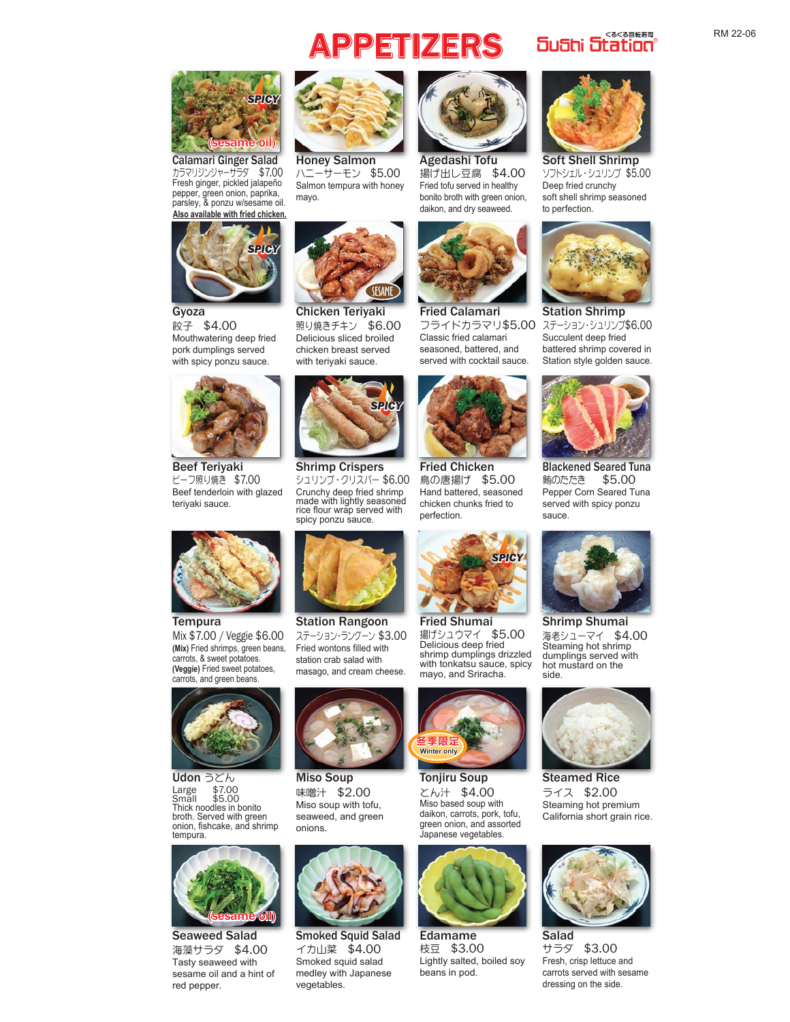## **PPETIZERS** Sushi Station<sup>®</sup>



カラマリジンジャーサラダ \$7.00 Fresh ginger, pickled jalapeño pepper, green onion, paprika, parsley, & ponzu w/sesame oil. Calamari Ginger Salad **Also available with fried chicken.**



餃子 \$4.00 Mouthwatering deep fried pork dumplings served with spicy ponzu sauce.



ビーフ照り焼き \$7.00 Beef tenderloin with glazed teriyaki sauce. Beef Teriyaki Shrimp Crispers



ハニーサーモン \$5.00 Salmon tempura with honey mayo. Honey Salmon Agedashi Tofu



照り焼きチキン \$6.00 Delicious sliced broiled chicken breast served with teriyaki sauce. Gyoza **Chicken Teriyaki** Fried Calamari



シュリンプ・クリスパー \$6.00 Crunchy deep fried shrimp made with lightly seasoned rice flour wrap served with spicy ponzu sauce.



揚げ出し豆腐 \$4.00 Fried tofu served in healthy bonito broth with green onion, daikon, and dry seaweed.



フライドカラマリ\$5.00 Classic fried calamari seasoned, battered, and served with cocktail sauce.



鳥の唐揚げ \$5.00 Hand battered, seasoned chicken chunks fried to perfection. Fried Chicken



揚げシュウマイ \$5.00 Delicious deep fried shrimp dumplings drizzled with tonkatsu sauce, spicy



ソフトシェル・シュリンプ \$5.00 Deep fried crunchy soft shell shrimp seasoned to perfection. Soft Shell Shrimp



ステーション・シュリンプ\$6.00 Succulent deep fried battered shrimp covered in Station style golden sauce. Station Shrimp



鮪のたたき \$5.00 Pepper Corn Seared Tuna served with spicy ponzu sauce. Blackened Seared Tuna



海老シューマイ \$4.00 Steaming hot shrimp dumplings served with hot mustard on the side. Shrimp Shumai



ライス \$2.00 Steaming hot premium California short grain rice. Steamed Rice



サラダ \$3.00 Fresh, crisp lettuce and carrots served with sesame dressing on the side.



**(Mix)** Fried shrimps, green beans, carrots, & sweet potatoes. **(Veggie)** Fried sweet potatoes, carrots, and green beans. **Tempura** Mix \$7.00 / Veggie \$6.00



Large \$7.00<br>Small \$5.00 Small \$5.00 Thick noodles in bonito broth. Served with green<br>onion, fishcake, and shrimp tempura. Udon うどん



海藻サラダ \$4.00 Tasty seaweed with sesame oil and a hint of red pepper. Seaweed Salad Smoked Squid Salad Edamame Salad



ステーション・ラングーン \$3.00 Fried wontons filled with station crab salad with masago, and cream cheese.



味噌汁 \$2.00 Miso soup with tofu, seaweed, and green onions. Miso Soup



イカ山菜 \$4.00 Smoked squid salad medley with Japanese vegetables.



とん汁 \$4.00 Miso based soup with daikon, carrots, pork, tofu, green onion, and assorted Japanese vegetables. Tonjiru Soup



枝豆 \$3.00 Lightly salted, boiled soy beans in pod. Edamame

RM 22-06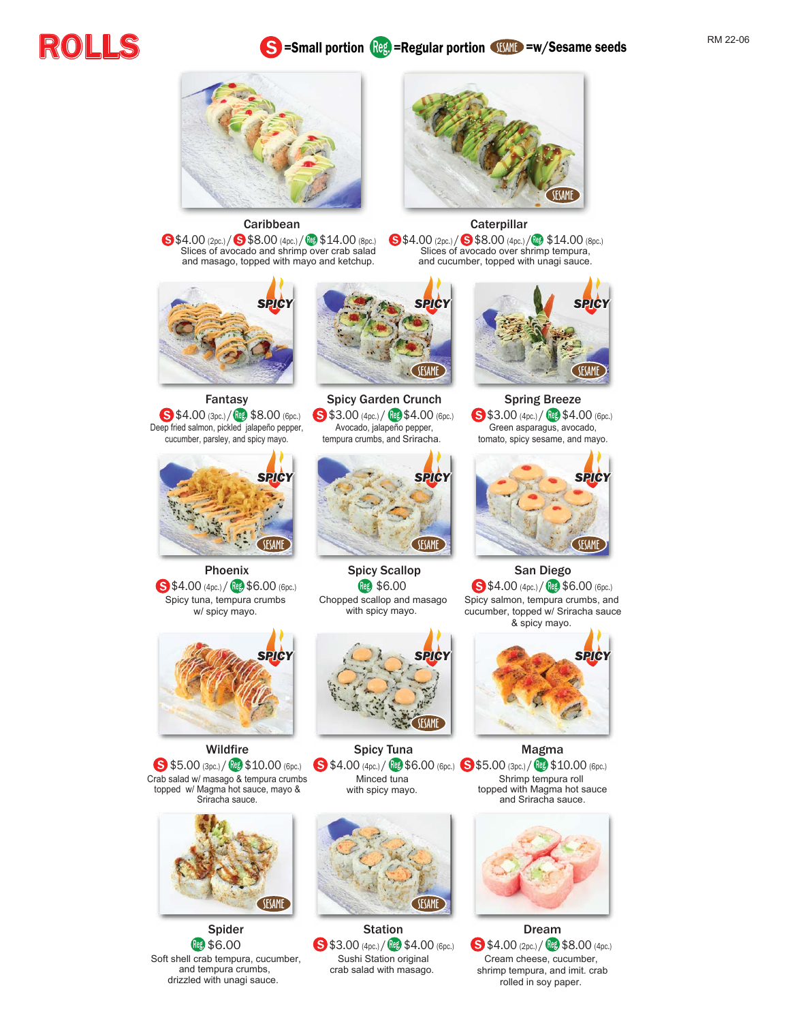# ROLLS





**Caribbean** 

**\Sec.**) / \$8.00 (4pc.) / \$14.00 (8pc.) Slices of avocado and shrimp over crab salad and masago, topped with mayo and ketchup.



Fantasy  $$4.00$  (3pc.) /  $$8.00$  (6pc.) Deep fried salmon, pickled jalapeño pepper, cucumber, parsley, and spicy mayo.



Phoenix \$4.00 (4pc.) / Reg \$6.00 (6pc.) Spicy tuna, tempura crumbs w/ spicy mayo.



**Wildfire**  $$5.00$  (3pc.) / Reg  $$10.00$  (6pc.) Crab salad w/ masago & tempura crumbs topped w/ Magma hot sauce, mayo & Sriracha sauce.



Spider **Reg \$6.00** Soft shell crab tempura, cucumber, and tempura crumbs, drizzled with unagi sauce.



Spicy Garden Crunch **S** \$3.00 (4pc.) / **Reg.** \$4.00 (6pc.) Avocado, jalapeño pepper, tempura crumbs, and Sriracha.



Spicy Scallop **Reg. \$6.00** Chopped scallop and masago with spicy mayo.



 $$4.00\,(4pc)/$   $$6.00\,(6pc.)$   $$5.00\,(3pc.)$   $$10.00\,(6pc.)$ Spicy Tuna Minced tuna with spicy mayo.



Station  $\bullet$  \$3.00 (4pc.) /  $\left(\frac{100}{3}\right)$  \$4.00 (6pc.) Sushi Station original crab salad with masago.



**Caterpillar** 

**S**\$4.00 (2pc.) / **S**\$8.00 (4pc.) / @ \$14.00 (8pc.) Slices of avocado over shrimp tempura, and cucumber, topped with unagi sauce.



Spring Breeze \$3.00 (4pc.) / Reg \$4.00 (6pc.) Green asparagus, avocado, tomato, spicy sesame, and mayo.



San Diego \$4.00 (4pc.) / Reg. \$6.00 (6pc.) Spicy salmon, tempura crumbs, and cucumber, topped w/ Sriracha sauce & spicy mayo.



Magma Shrimp tempura roll topped with Magma hot sauce and Sriracha sauce.



Dream  $$4.00$  (2pc.) /  $$8.00$  (4pc.) Cream cheese, cucumber, shrimp tempura, and imit. crab rolled in soy paper.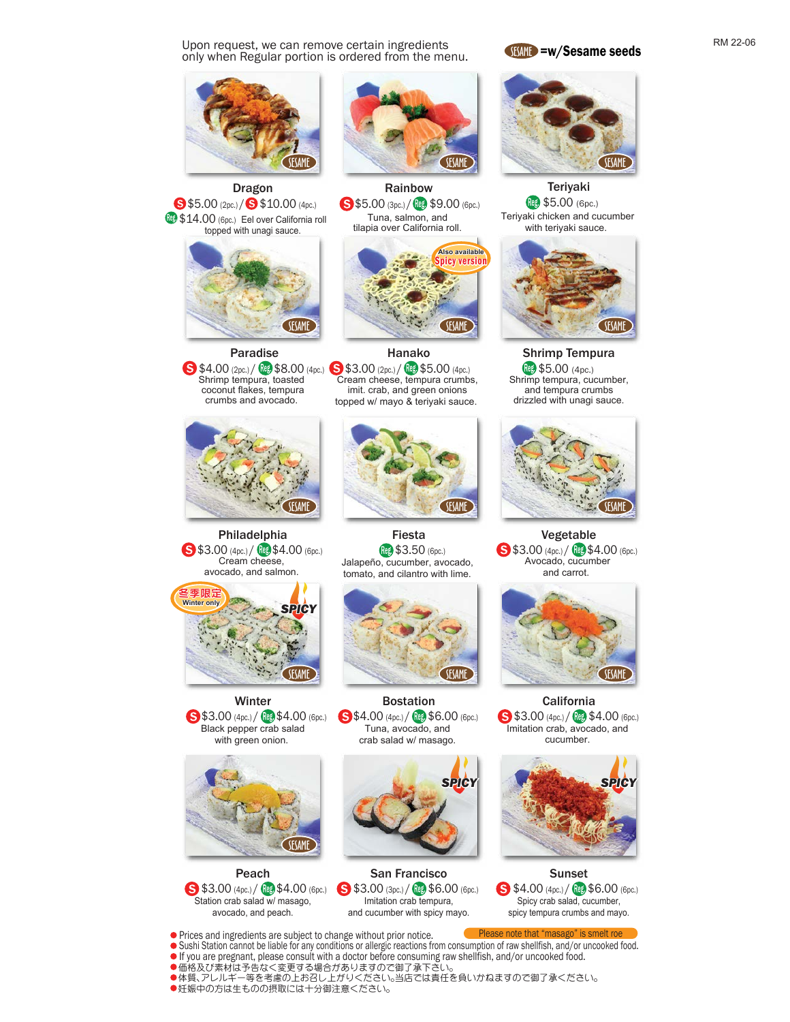Upon request, we can remove certain ingredients only when Regular portion is ordered from the menu.



Dragon **S** \$5.00 (2pc.) / S \$10.00 (4pc.) **189 \$14.00** (6pc.) Eel over California roll



 Paradise  $\bullet$  \$4.00 (2pc.) /  $\bullet$  \$8.00 (4pc.)  $\bullet$  \$3.00 (2pc.) /  $\bullet$  \$5.00 (4pc.) Shrimp tempura, toasted coconut flakes, tempura crumbs and avocado.



Philadelphia \$3.00 (4pc.) / **Reg \$4.00** (6pc.) Cream cheese, avocado, and salmon.



Winter \$3.00 (4pc.) / Reg \$4.00 (6pc.) Black pepper crab salad with green onion.



Peach  $$3.00\,(4pc.)$  /  $$4.00\,(6pc.)$ Station crab salad w/ masago, avocado, and peach.

●価格及び素材は予告なく変更する場合がありますので御了承下さい

Prices and ingredients are subject to change without prior notice.

●妊娠中の方は生ものの摂取には十分御注意ください。



Rainbow \$5.00 (3pc.) / Reg. \$9.00 (6pc.) Tuna, salmon, and tilapia over California roll.



Hanako Cream cheese, tempura crumbs, imit. crab, and green onions topped w/ mayo & teriyaki sauce.



Fiesta Reg. \$3.50 (6pc.) Jalapeño, cucumber, avocado, tomato, and cilantro with lime.



Bostation \$4.00 (4pc.) / Reg \$6.00 (6pc.) Tuna, avocado, and crab salad w/ masago.



San Francisco \$3.00 (3pc.) / **Reg.** \$6.00 (6pc.) Imitation crab tempura, and cucumber with spicy mayo.

Sushi Station cannot be liable for any conditions or allergic reactions from consumption of raw shellfish, and/or uncooked food.

●体質、アレルギー等を考慮の上お召し上がりください。当店では責任を負いかねますので御了承ください。

If you are pregnant, please consult with a doctor before consuming raw shellfish, and/or uncooked food.





Teriyaki **Reg. \$5.00** (6pc.) Teriyaki chicken and cucumber with teriyaki sauce.



**Shrimp Tempura**<br>(@ \$5.00 (4pc.) Shrimp tempura, cucumber, and tempura crumbs drizzled with unagi sauce.



Vegetable \$3.00 (4pc.) / **Reg \$4.00** (6pc.) Avocado, cucumber and carrot.



California **S** \$3.00 (4pc.) / Reg. \$4.00 (6pc.) Imitation crab, avocado, and cucumber.



Sunset  $$4.00\,(4pc.)$  /  ${109\,}\, $6.00\,(6pc.)$ Spicy crab salad, cucumber, spicy tempura crumbs and mayo.

Please note that "masago" is smelt roe